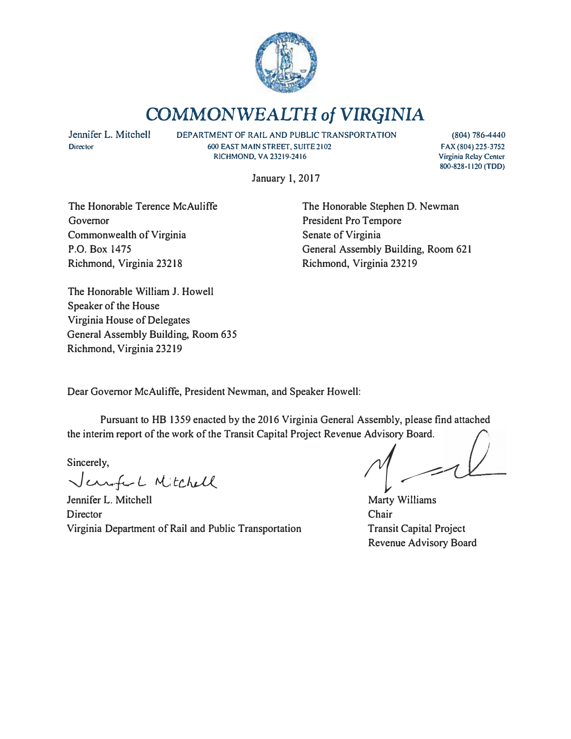

# **COMMONWEALTH** *of* **VIRGINIA**

**Jennifer L. Mitchell**  Director

DEPARTMENT OF RAIL AND PUBLIC TRANSPORTATION **600 EAST MAIN STREET, SUITE 2102 RICHMOND, VA 23219-2416** 

**(804) 786-4440 FAX (804) 225-3752 Virginia Relay Ccnlcr 800-828·1120 (TDD)** 

January I, 2017

The Honorable Terence McAuliffe Governor Commonwealth of Virginia P.O. Box 1475 Richmond, Virginia 23218

The Honorable Stephen D. Newman President Pro Tempore Senate of Virginia General Assembly Building, Room 621 Richmond, Virginia 23219

The Honorable William J. Howell Speaker of the House Virginia House of Delegates General Assembly Building, Room 635 Richmond, Virginia 23219

Dear Governor McAuliffe, President Newman, and Speaker Howell:

Pursuant to HB 1359 enacted by the 2016 Virginia General Assembly, please find attached the interim report of the work of the Transit Capital Project Revenue Advisory Board.

Sincerely,

� *�f-L t,.L; tc)-d{*

Jennifer L. Mitchell **Director** Virginia Department of Rail and Public Transportation

*1*<br>*1*<br>Marty Williams

Marty Williams Chair Transit Capital Project Revenue Advisory Board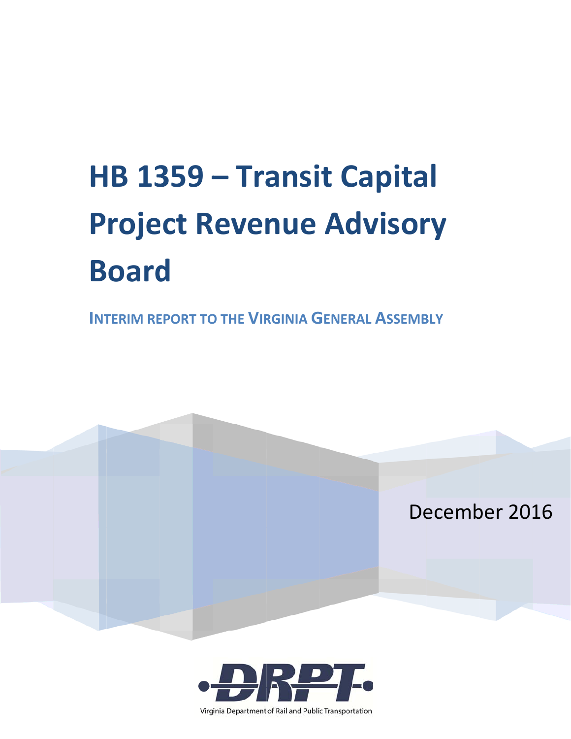# HB 1359 - Transit Capital **Project Revenue Advisory Board**

**INTERIM REPORT TO THE VIRGINIA GENERAL ASSEMBLY** 





Virginia Department of Rail and Public Transportation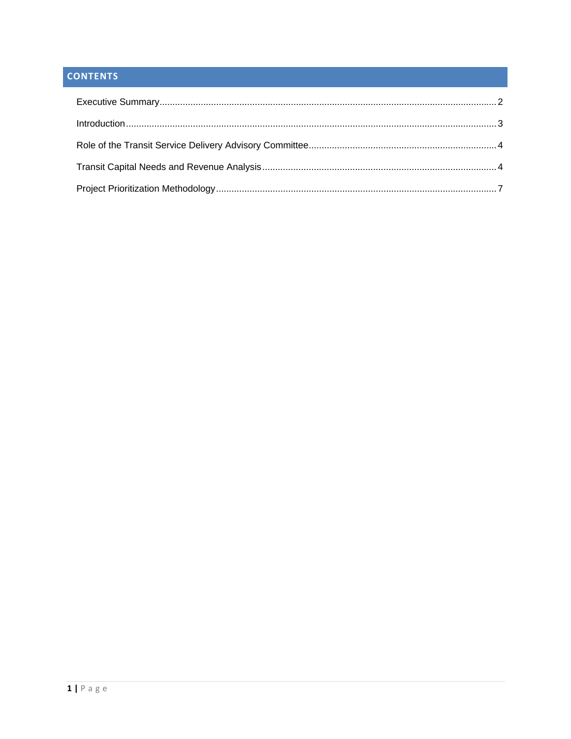# **CONTENTS**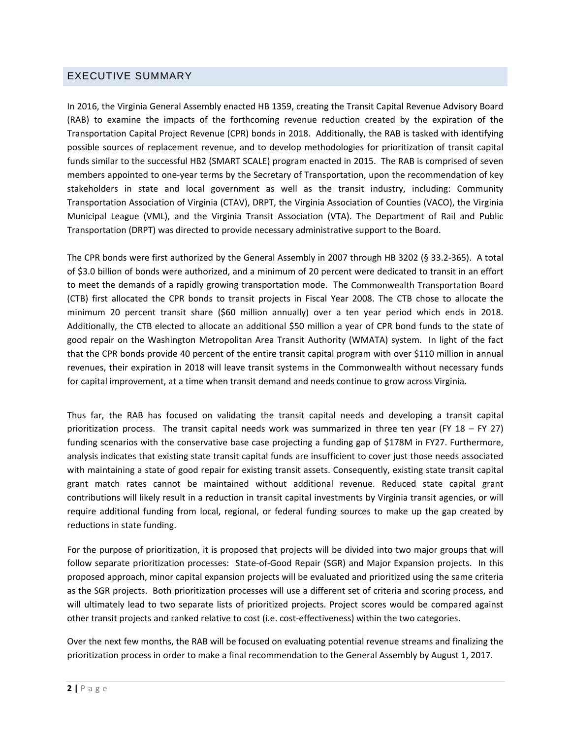#### EXECUTIVE SUMMARY

In 2016, the Virginia General Assembly enacted HB 1359, creating the Transit Capital Revenue Advisory Board (RAB) to examine the impacts of the forthcoming revenue reduction created by the expiration of the Transportation Capital Project Revenue (CPR) bonds in 2018. Additionally, the RAB is tasked with identifying possible sources of replacement revenue, and to develop methodologies for prioritization of transit capital funds similar to the successful HB2 (SMART SCALE) program enacted in 2015. The RAB is comprised of seven members appointed to one‐year terms by the Secretary of Transportation, upon the recommendation of key stakeholders in state and local government as well as the transit industry, including: Community Transportation Association of Virginia (CTAV), DRPT, the Virginia Association of Counties (VACO), the Virginia Municipal League (VML), and the Virginia Transit Association (VTA). The Department of Rail and Public Transportation (DRPT) was directed to provide necessary administrative support to the Board.

The CPR bonds were first authorized by the General Assembly in 2007 through HB 3202 (§ 33.2‐365). A total of \$3.0 billion of bonds were authorized, and a minimum of 20 percent were dedicated to transit in an effort to meet the demands of a rapidly growing transportation mode. The Commonwealth Transportation Board (CTB) first allocated the CPR bonds to transit projects in Fiscal Year 2008. The CTB chose to allocate the minimum 20 percent transit share (\$60 million annually) over a ten year period which ends in 2018. Additionally, the CTB elected to allocate an additional \$50 million a year of CPR bond funds to the state of good repair on the Washington Metropolitan Area Transit Authority (WMATA) system. In light of the fact that the CPR bonds provide 40 percent of the entire transit capital program with over \$110 million in annual revenues, their expiration in 2018 will leave transit systems in the Commonwealth without necessary funds for capital improvement, at a time when transit demand and needs continue to grow across Virginia.

Thus far, the RAB has focused on validating the transit capital needs and developing a transit capital prioritization process. The transit capital needs work was summarized in three ten year (FY 18 – FY 27) funding scenarios with the conservative base case projecting a funding gap of \$178M in FY27. Furthermore, analysis indicates that existing state transit capital funds are insufficient to cover just those needs associated with maintaining a state of good repair for existing transit assets. Consequently, existing state transit capital grant match rates cannot be maintained without additional revenue. Reduced state capital grant contributions will likely result in a reduction in transit capital investments by Virginia transit agencies, or will require additional funding from local, regional, or federal funding sources to make up the gap created by reductions in state funding.

For the purpose of prioritization, it is proposed that projects will be divided into two major groups that will follow separate prioritization processes: State‐of‐Good Repair (SGR) and Major Expansion projects. In this proposed approach, minor capital expansion projects will be evaluated and prioritized using the same criteria as the SGR projects. Both prioritization processes will use a different set of criteria and scoring process, and will ultimately lead to two separate lists of prioritized projects. Project scores would be compared against other transit projects and ranked relative to cost (i.e. cost‐effectiveness) within the two categories.

Over the next few months, the RAB will be focused on evaluating potential revenue streams and finalizing the prioritization process in order to make a final recommendation to the General Assembly by August 1, 2017.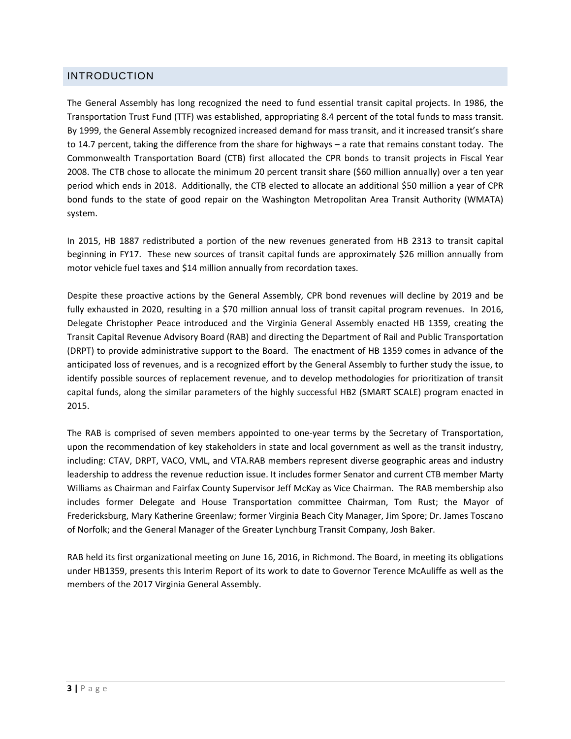#### INTRODUCTION

The General Assembly has long recognized the need to fund essential transit capital projects. In 1986, the Transportation Trust Fund (TTF) was established, appropriating 8.4 percent of the total funds to mass transit. By 1999, the General Assembly recognized increased demand for mass transit, and it increased transit's share to 14.7 percent, taking the difference from the share for highways – a rate that remains constant today. The Commonwealth Transportation Board (CTB) first allocated the CPR bonds to transit projects in Fiscal Year 2008. The CTB chose to allocate the minimum 20 percent transit share (\$60 million annually) over a ten year period which ends in 2018. Additionally, the CTB elected to allocate an additional \$50 million a year of CPR bond funds to the state of good repair on the Washington Metropolitan Area Transit Authority (WMATA) system.

In 2015, HB 1887 redistributed a portion of the new revenues generated from HB 2313 to transit capital beginning in FY17. These new sources of transit capital funds are approximately \$26 million annually from motor vehicle fuel taxes and \$14 million annually from recordation taxes.

Despite these proactive actions by the General Assembly, CPR bond revenues will decline by 2019 and be fully exhausted in 2020, resulting in a \$70 million annual loss of transit capital program revenues. In 2016, Delegate Christopher Peace introduced and the Virginia General Assembly enacted HB 1359, creating the Transit Capital Revenue Advisory Board (RAB) and directing the Department of Rail and Public Transportation (DRPT) to provide administrative support to the Board. The enactment of HB 1359 comes in advance of the anticipated loss of revenues, and is a recognized effort by the General Assembly to further study the issue, to identify possible sources of replacement revenue, and to develop methodologies for prioritization of transit capital funds, along the similar parameters of the highly successful HB2 (SMART SCALE) program enacted in 2015.

The RAB is comprised of seven members appointed to one‐year terms by the Secretary of Transportation, upon the recommendation of key stakeholders in state and local government as well as the transit industry, including: CTAV, DRPT, VACO, VML, and VTA.RAB members represent diverse geographic areas and industry leadership to address the revenue reduction issue. It includes former Senator and current CTB member Marty Williams as Chairman and Fairfax County Supervisor Jeff McKay as Vice Chairman. The RAB membership also includes former Delegate and House Transportation committee Chairman, Tom Rust; the Mayor of Fredericksburg, Mary Katherine Greenlaw; former Virginia Beach City Manager, Jim Spore; Dr. James Toscano of Norfolk; and the General Manager of the Greater Lynchburg Transit Company, Josh Baker.

RAB held its first organizational meeting on June 16, 2016, in Richmond. The Board, in meeting its obligations under HB1359, presents this Interim Report of its work to date to Governor Terence McAuliffe as well as the members of the 2017 Virginia General Assembly.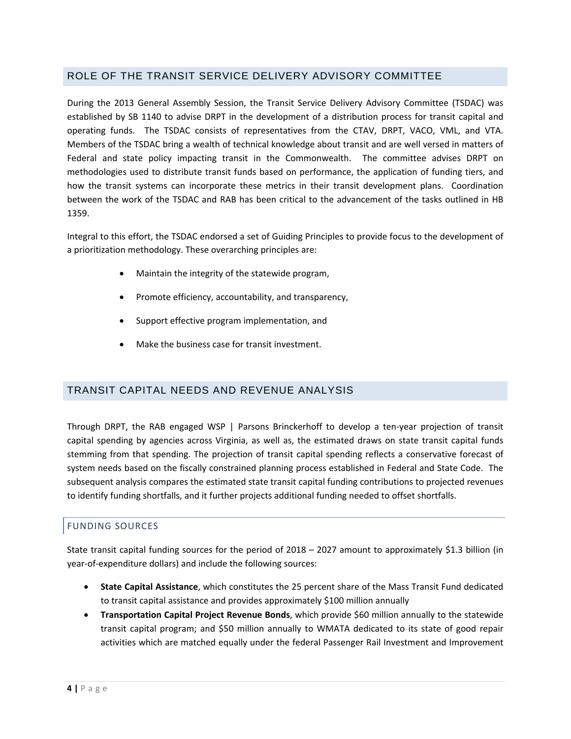#### ROLE OF THE TRANSIT SERVICE DELIVERY ADVISORY COMMITTEE

During the 2013 General Assembly Session, the Transit Service Delivery Advisory Committee (TSDAC) was established by SB 1140 to advise DRPT in the development of a distribution process for transit capital and operating funds. The TSDAC consists of representatives from the CTAV, DRPT, VACO, VML, and VTA. Members of the TSDAC bring a wealth of technical knowledge about transit and are well versed in matters of Federal and state policy impacting transit in the Commonwealth. The committee advises DRPT on methodologies used to distribute transit funds based on performance, the application of funding tiers, and how the transit systems can incorporate these metrics in their transit development plans. Coordination between the work of the TSDAC and RAB has been critical to the advancement of the tasks outlined in HB 1359.

Integral to this effort, the TSDAC endorsed a set of Guiding Principles to provide focus to the development of a prioritization methodology. These overarching principles are:

- Maintain the integrity of the statewide program,
- Promote efficiency, accountability, and transparency,
- Support effective program implementation, and
- Make the business case for transit investment.

#### TRANSIT CAPITAL NEEDS AND REVENUE ANALYSIS

Through DRPT, the RAB engaged WSP | Parsons Brinckerhoff to develop a ten‐year projection of transit capital spending by agencies across Virginia, as well as, the estimated draws on state transit capital funds stemming from that spending. The projection of transit capital spending reflects a conservative forecast of system needs based on the fiscally constrained planning process established in Federal and State Code. The subsequent analysis compares the estimated state transit capital funding contributions to projected revenues to identify funding shortfalls, and it further projects additional funding needed to offset shortfalls.

#### FUNDING SOURCES

State transit capital funding sources for the period of 2018 – 2027 amount to approximately \$1.3 billion (in year‐of‐expenditure dollars) and include the following sources:

- **State Capital Assistance**, which constitutes the 25 percent share of the Mass Transit Fund dedicated to transit capital assistance and provides approximately \$100 million annually
- **Transportation Capital Project Revenue Bonds**, which provide \$60 million annually to the statewide transit capital program; and \$50 million annually to WMATA dedicated to its state of good repair activities which are matched equally under the federal Passenger Rail Investment and Improvement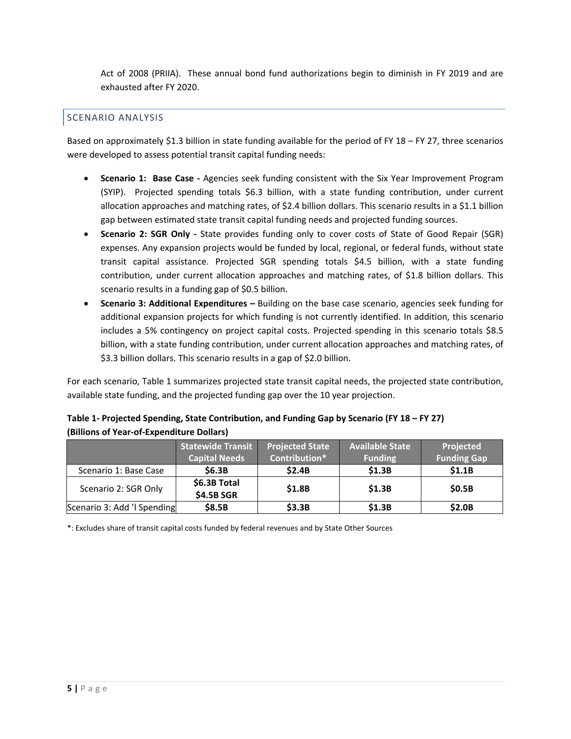Act of 2008 (PRIIA). These annual bond fund authorizations begin to diminish in FY 2019 and are exhausted after FY 2020.

#### SCENARIO ANALYSIS

Based on approximately \$1.3 billion in state funding available for the period of FY 18 – FY 27, three scenarios were developed to assess potential transit capital funding needs:

- **Scenario 1: Base Case ‐** Agencies seek funding consistent with the Six Year Improvement Program (SYIP). Projected spending totals \$6.3 billion, with a state funding contribution, under current allocation approaches and matching rates, of \$2.4 billion dollars. This scenario results in a \$1.1 billion gap between estimated state transit capital funding needs and projected funding sources.
- **Scenario 2: SGR Only ‐** State provides funding only to cover costs of State of Good Repair (SGR) expenses. Any expansion projects would be funded by local, regional, or federal funds, without state transit capital assistance. Projected SGR spending totals \$4.5 billion, with a state funding contribution, under current allocation approaches and matching rates, of \$1.8 billion dollars. This scenario results in a funding gap of \$0.5 billion.
- **Scenario 3: Additional Expenditures –** Building on the base case scenario, agencies seek funding for additional expansion projects for which funding is not currently identified. In addition, this scenario includes a 5% contingency on project capital costs. Projected spending in this scenario totals \$8.5 billion, with a state funding contribution, under current allocation approaches and matching rates, of \$3.3 billion dollars. This scenario results in a gap of \$2.0 billion.

For each scenario, Table 1 summarizes projected state transit capital needs, the projected state contribution, available state funding, and the projected funding gap over the 10 year projection.

| Table 1- Projected Spending, State Contribution, and Funding Gap by Scenario (FY 18 – FY 27) |  |
|----------------------------------------------------------------------------------------------|--|
| (Billions of Year-of-Expenditure Dollars)                                                    |  |

|                             | <b>Statewide Transit</b>   | <b>Projected State</b> | <b>Available State</b> | Projected          |
|-----------------------------|----------------------------|------------------------|------------------------|--------------------|
|                             | <b>Capital Needs</b>       | Contribution*          | <b>Funding</b>         | <b>Funding Gap</b> |
| Scenario 1: Base Case       | \$6.3B                     | \$2.4B                 | \$1.3B                 | \$1.1B             |
| Scenario 2: SGR Only        | \$6.3B Total<br>\$4.5B SGR | \$1.8B                 | \$1.3B                 | \$0.5B             |
| Scenario 3: Add 'I Spending | \$8.5B                     | \$3.3B                 | \$1.3B                 | \$2.0B             |

\*: Excludes share of transit capital costs funded by federal revenues and by State Other Sources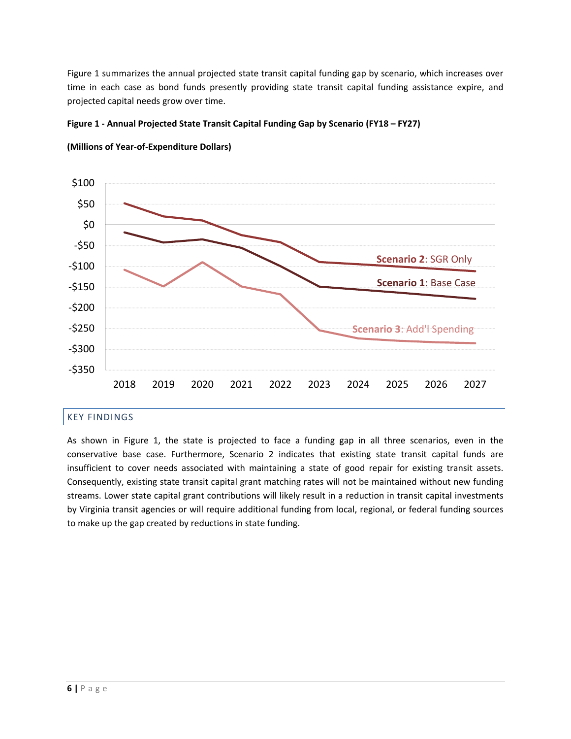Figure 1 summarizes the annual projected state transit capital funding gap by scenario, which increases over time in each case as bond funds presently providing state transit capital funding assistance expire, and projected capital needs grow over time.

#### **Figure 1 ‐ Annual Projected State Transit Capital Funding Gap by Scenario (FY18 – FY27)**



**(Millions of Year‐of‐Expenditure Dollars)**

#### KEY FINDINGS

As shown in Figure 1, the state is projected to face a funding gap in all three scenarios, even in the conservative base case. Furthermore, Scenario 2 indicates that existing state transit capital funds are insufficient to cover needs associated with maintaining a state of good repair for existing transit assets. Consequently, existing state transit capital grant matching rates will not be maintained without new funding streams. Lower state capital grant contributions will likely result in a reduction in transit capital investments by Virginia transit agencies or will require additional funding from local, regional, or federal funding sources to make up the gap created by reductions in state funding.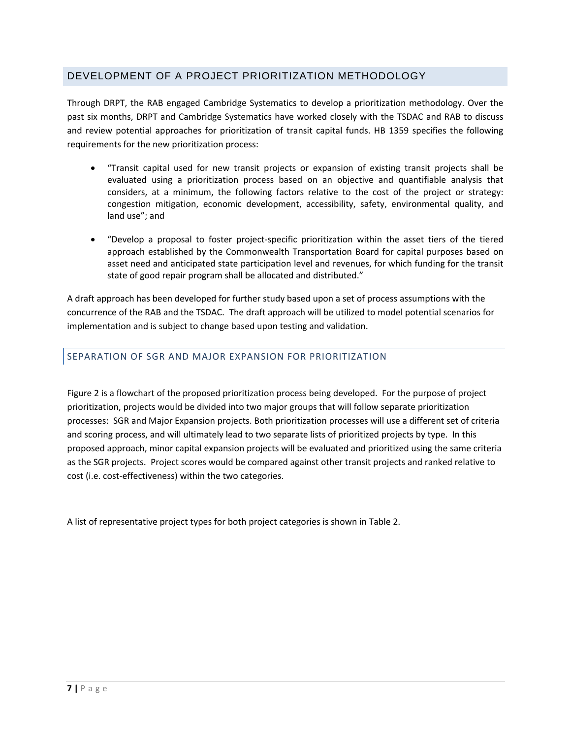#### DEVELOPMENT OF A PROJECT PRIORITIZATION METHODOLOGY

Through DRPT, the RAB engaged Cambridge Systematics to develop a prioritization methodology. Over the past six months, DRPT and Cambridge Systematics have worked closely with the TSDAC and RAB to discuss and review potential approaches for prioritization of transit capital funds. HB 1359 specifies the following requirements for the new prioritization process:

- "Transit capital used for new transit projects or expansion of existing transit projects shall be evaluated using a prioritization process based on an objective and quantifiable analysis that considers, at a minimum, the following factors relative to the cost of the project or strategy: congestion mitigation, economic development, accessibility, safety, environmental quality, and land use"; and
- "Develop a proposal to foster project‐specific prioritization within the asset tiers of the tiered approach established by the Commonwealth Transportation Board for capital purposes based on asset need and anticipated state participation level and revenues, for which funding for the transit state of good repair program shall be allocated and distributed."

A draft approach has been developed for further study based upon a set of process assumptions with the concurrence of the RAB and the TSDAC. The draft approach will be utilized to model potential scenarios for implementation and is subject to change based upon testing and validation.

#### SEPARATION OF SGR AND MAJOR EXPANSION FOR PRIORITIZATION

Figure 2 is a flowchart of the proposed prioritization process being developed. For the purpose of project prioritization, projects would be divided into two major groups that will follow separate prioritization processes: SGR and Major Expansion projects. Both prioritization processes will use a different set of criteria and scoring process, and will ultimately lead to two separate lists of prioritized projects by type. In this proposed approach, minor capital expansion projects will be evaluated and prioritized using the same criteria as the SGR projects. Project scores would be compared against other transit projects and ranked relative to cost (i.e. cost‐effectiveness) within the two categories.

A list of representative project types for both project categories is shown in Table 2.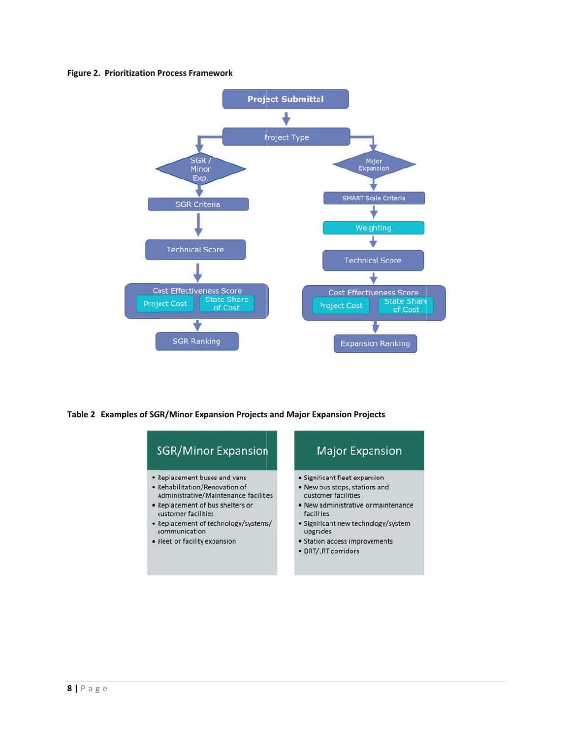#### **Figure 2. Prioritization Process Framework**



#### Table 2 Examples of SGR/Minor Expansion Projects and Major Expansion Projects

### **SGR/Minor Expansion**

- Replacement buses and vans
- Rehabilitation/Renovation of
- Administrative/Maintenance facilities • Replacement of bus shelters or
- customer facilities · Replacement of technology/systems/
- communication
- Fleet or facility expansion

## **Major Expansion**

- · Significant fleet expansion
- . New bus stops, stations and customer facilities
- New administrative or maintenance facilities
- · Significant new technology/system upgrades
- · Station access improvements
- BRT/LRT corridors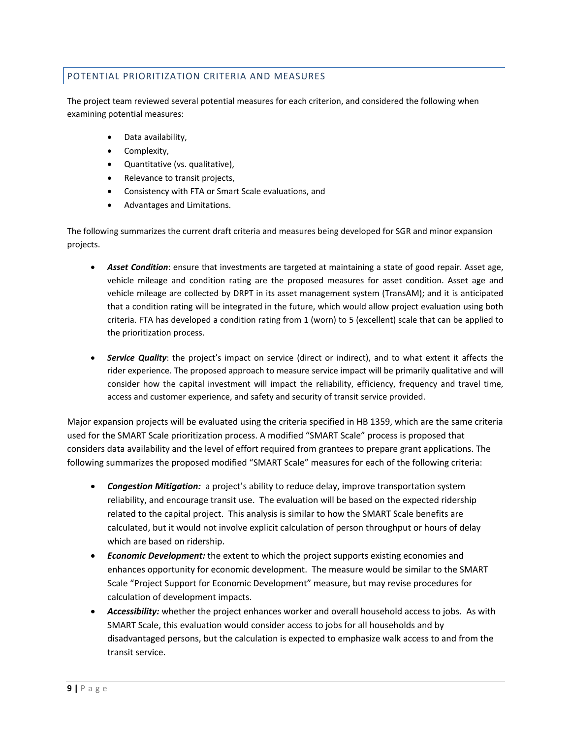#### POTENTIAL PRIORITIZATION CRITERIA AND MEASURES

The project team reviewed several potential measures for each criterion, and considered the following when examining potential measures:

- Data availability,
- Complexity,
- Quantitative (vs. qualitative),
- Relevance to transit projects,
- Consistency with FTA or Smart Scale evaluations, and
- Advantages and Limitations.

The following summarizes the current draft criteria and measures being developed for SGR and minor expansion projects.

- *Asset Condition*: ensure that investments are targeted at maintaining a state of good repair. Asset age, vehicle mileage and condition rating are the proposed measures for asset condition. Asset age and vehicle mileage are collected by DRPT in its asset management system (TransAM); and it is anticipated that a condition rating will be integrated in the future, which would allow project evaluation using both criteria. FTA has developed a condition rating from 1 (worn) to 5 (excellent) scale that can be applied to the prioritization process.
- *Service Quality*: the project's impact on service (direct or indirect), and to what extent it affects the rider experience. The proposed approach to measure service impact will be primarily qualitative and will consider how the capital investment will impact the reliability, efficiency, frequency and travel time, access and customer experience, and safety and security of transit service provided.

Major expansion projects will be evaluated using the criteria specified in HB 1359, which are the same criteria used for the SMART Scale prioritization process. A modified "SMART Scale" process is proposed that considers data availability and the level of effort required from grantees to prepare grant applications. The following summarizes the proposed modified "SMART Scale" measures for each of the following criteria:

- **Congestion Mitigation:** a project's ability to reduce delay, improve transportation system reliability, and encourage transit use. The evaluation will be based on the expected ridership related to the capital project. This analysis is similar to how the SMART Scale benefits are calculated, but it would not involve explicit calculation of person throughput or hours of delay which are based on ridership.
- *Economic Development:* the extent to which the project supports existing economies and enhances opportunity for economic development. The measure would be similar to the SMART Scale "Project Support for Economic Development" measure, but may revise procedures for calculation of development impacts.
- *Accessibility:* whether the project enhances worker and overall household access to jobs. As with SMART Scale, this evaluation would consider access to jobs for all households and by disadvantaged persons, but the calculation is expected to emphasize walk access to and from the transit service.